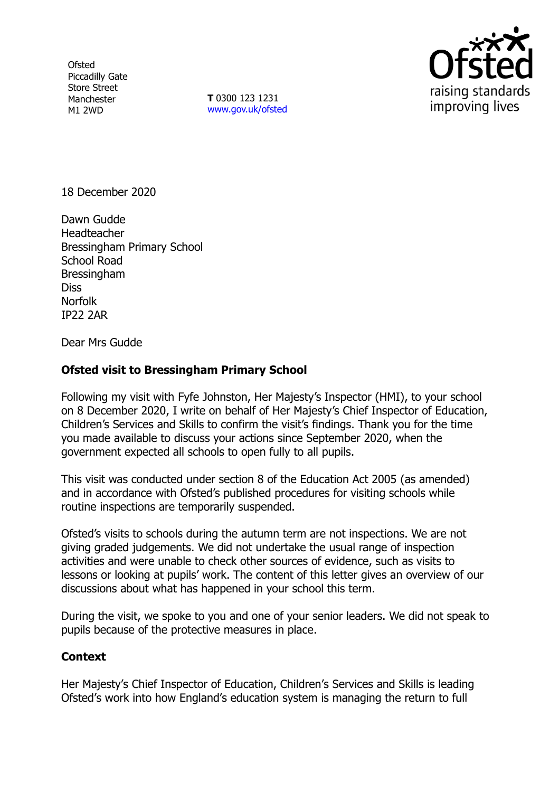**Ofsted** Piccadilly Gate Store Street Manchester M1 2WD

**T** 0300 123 1231 [www.gov.uk/ofsted](http://www.gov.uk/ofsted)



18 December 2020

Dawn Gudde **Headteacher** Bressingham Primary School School Road Bressingham **Diss** Norfolk IP22 2AR

Dear Mrs Gudde

## **Ofsted visit to Bressingham Primary School**

Following my visit with Fyfe Johnston, Her Majesty's Inspector (HMI), to your school on 8 December 2020, I write on behalf of Her Majesty's Chief Inspector of Education, Children's Services and Skills to confirm the visit's findings. Thank you for the time you made available to discuss your actions since September 2020, when the government expected all schools to open fully to all pupils.

This visit was conducted under section 8 of the Education Act 2005 (as amended) and in accordance with Ofsted's published procedures for visiting schools while routine inspections are temporarily suspended.

Ofsted's visits to schools during the autumn term are not inspections. We are not giving graded judgements. We did not undertake the usual range of inspection activities and were unable to check other sources of evidence, such as visits to lessons or looking at pupils' work. The content of this letter gives an overview of our discussions about what has happened in your school this term.

During the visit, we spoke to you and one of your senior leaders. We did not speak to pupils because of the protective measures in place.

## **Context**

Her Majesty's Chief Inspector of Education, Children's Services and Skills is leading Ofsted's work into how England's education system is managing the return to full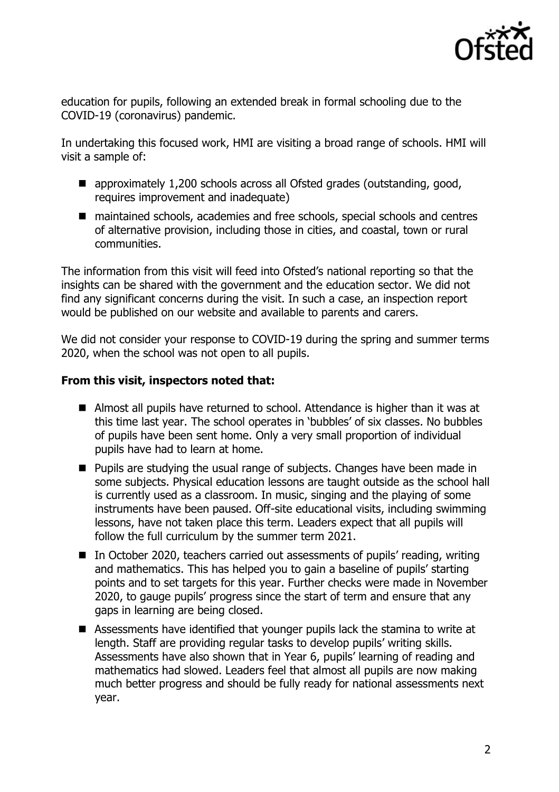

education for pupils, following an extended break in formal schooling due to the COVID-19 (coronavirus) pandemic.

In undertaking this focused work, HMI are visiting a broad range of schools. HMI will visit a sample of:

- approximately 1,200 schools across all Ofsted grades (outstanding, good, requires improvement and inadequate)
- maintained schools, academies and free schools, special schools and centres of alternative provision, including those in cities, and coastal, town or rural communities.

The information from this visit will feed into Ofsted's national reporting so that the insights can be shared with the government and the education sector. We did not find any significant concerns during the visit. In such a case, an inspection report would be published on our website and available to parents and carers.

We did not consider your response to COVID-19 during the spring and summer terms 2020, when the school was not open to all pupils.

## **From this visit, inspectors noted that:**

- Almost all pupils have returned to school. Attendance is higher than it was at this time last year. The school operates in 'bubbles' of six classes. No bubbles of pupils have been sent home. Only a very small proportion of individual pupils have had to learn at home.
- **Pupils are studying the usual range of subjects. Changes have been made in** some subjects. Physical education lessons are taught outside as the school hall is currently used as a classroom. In music, singing and the playing of some instruments have been paused. Off-site educational visits, including swimming lessons, have not taken place this term. Leaders expect that all pupils will follow the full curriculum by the summer term 2021.
- In October 2020, teachers carried out assessments of pupils' reading, writing and mathematics. This has helped you to gain a baseline of pupils' starting points and to set targets for this year. Further checks were made in November 2020, to gauge pupils' progress since the start of term and ensure that any gaps in learning are being closed.
- Assessments have identified that younger pupils lack the stamina to write at length. Staff are providing regular tasks to develop pupils' writing skills. Assessments have also shown that in Year 6, pupils' learning of reading and mathematics had slowed. Leaders feel that almost all pupils are now making much better progress and should be fully ready for national assessments next year.